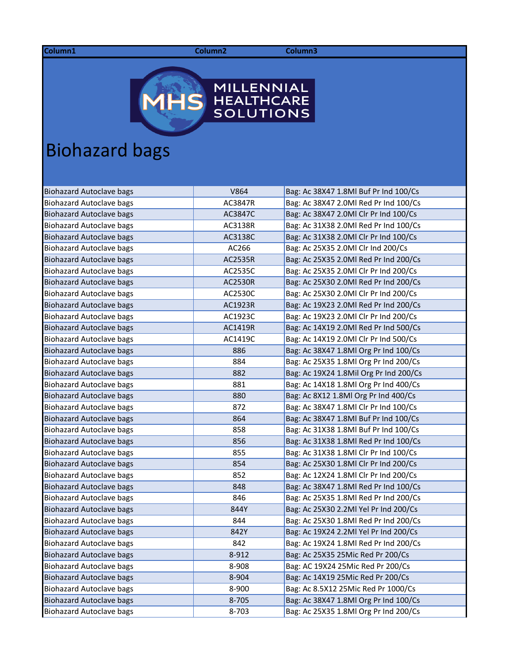**Column1 Column2 Column3**



## Biohazard bags

| <b>Biohazard Autoclave bags</b> | V864    | Bag: Ac 38X47 1.8Ml Buf Pr Ind 100/Cs  |
|---------------------------------|---------|----------------------------------------|
| <b>Biohazard Autoclave bags</b> | AC3847R | Bag: Ac 38X47 2.0Ml Red Pr Ind 100/Cs  |
| <b>Biohazard Autoclave bags</b> | AC3847C | Bag: Ac 38X47 2.0Ml Clr Pr Ind 100/Cs  |
| <b>Biohazard Autoclave bags</b> | AC3138R | Bag: Ac 31X38 2.0Ml Red Pr Ind 100/Cs  |
| <b>Biohazard Autoclave bags</b> | AC3138C | Bag: Ac 31X38 2.0Ml Clr Pr Ind 100/Cs  |
| <b>Biohazard Autoclave bags</b> | AC266   | Bag: Ac 25X35 2.0Ml Clr Ind 200/Cs     |
| <b>Biohazard Autoclave bags</b> | AC2535R | Bag: Ac 25X35 2.0Ml Red Pr Ind 200/Cs  |
| Biohazard Autoclave bags        | AC2535C | Bag: Ac 25X35 2.0Ml Clr Pr Ind 200/Cs  |
| <b>Biohazard Autoclave bags</b> | AC2530R | Bag: Ac 25X30 2.0Ml Red Pr Ind 200/Cs  |
| Biohazard Autoclave bags        | AC2530C | Bag: Ac 25X30 2.0Ml Clr Pr Ind 200/Cs  |
| <b>Biohazard Autoclave bags</b> | AC1923R | Bag: Ac 19X23 2.0Ml Red Pr Ind 200/Cs  |
| <b>Biohazard Autoclave bags</b> | AC1923C | Bag: Ac 19X23 2.0Ml Clr Pr Ind 200/Cs  |
| <b>Biohazard Autoclave bags</b> | AC1419R | Bag: Ac 14X19 2.0Ml Red Pr Ind 500/Cs  |
| <b>Biohazard Autoclave bags</b> | AC1419C | Bag: Ac 14X19 2.0Ml Clr Pr Ind 500/Cs  |
| <b>Biohazard Autoclave bags</b> | 886     | Bag: Ac 38X47 1.8Ml Org Pr Ind 100/Cs  |
| <b>Biohazard Autoclave bags</b> | 884     | Bag: Ac 25X35 1.8Ml Org Pr Ind 200/Cs  |
| <b>Biohazard Autoclave bags</b> | 882     | Bag: Ac 19X24 1.8Mil Org Pr Ind 200/Cs |
| <b>Biohazard Autoclave bags</b> | 881     | Bag: Ac 14X18 1.8Ml Org Pr Ind 400/Cs  |
| <b>Biohazard Autoclave bags</b> | 880     | Bag: Ac 8X12 1.8Ml Org Pr Ind 400/Cs   |
| <b>Biohazard Autoclave bags</b> | 872     | Bag: Ac 38X47 1.8Ml Clr Pr Ind 100/Cs  |
| <b>Biohazard Autoclave bags</b> | 864     | Bag: Ac 38X47 1.8Ml Buf Pr Ind 100/Cs  |
| <b>Biohazard Autoclave bags</b> | 858     | Bag: Ac 31X38 1.8Ml Buf Pr Ind 100/Cs  |
| <b>Biohazard Autoclave bags</b> | 856     | Bag: Ac 31X38 1.8Ml Red Pr Ind 100/Cs  |
| Biohazard Autoclave bags        | 855     | Bag: Ac 31X38 1.8Ml Clr Pr Ind 100/Cs  |
| Biohazard Autoclave bags        | 854     | Bag: Ac 25X30 1.8Ml Clr Pr Ind 200/Cs  |
| <b>Biohazard Autoclave bags</b> | 852     | Bag: Ac 12X24 1.8Ml Clr Pr Ind 200/Cs  |
| <b>Biohazard Autoclave bags</b> | 848     | Bag: Ac 38X47 1.8Ml Red Pr Ind 100/Cs  |
| <b>Biohazard Autoclave bags</b> | 846     | Bag: Ac 25X35 1.8Ml Red Pr Ind 200/Cs  |
| <b>Biohazard Autoclave bags</b> | 844Y    | Bag: Ac 25X30 2.2Ml Yel Pr Ind 200/Cs  |
| <b>Biohazard Autoclave bags</b> | 844     | Bag: Ac 25X30 1.8Ml Red Pr Ind 200/Cs  |
| <b>Biohazard Autoclave bags</b> | 842Y    | Bag: Ac 19X24 2.2Ml Yel Pr Ind 200/Cs  |
| <b>Biohazard Autoclave bags</b> | 842     | Bag: Ac 19X24 1.8Ml Red Pr Ind 200/Cs  |
| <b>Biohazard Autoclave bags</b> | 8-912   | Bag: Ac 25X35 25Mic Red Pr 200/Cs      |
| <b>Biohazard Autoclave bags</b> | 8-908   | Bag: AC 19X24 25Mic Red Pr 200/Cs      |
| <b>Biohazard Autoclave bags</b> | 8-904   | Bag: Ac 14X19 25Mic Red Pr 200/Cs      |
| <b>Biohazard Autoclave bags</b> | 8-900   | Bag: Ac 8.5X12 25Mic Red Pr 1000/Cs    |
| <b>Biohazard Autoclave bags</b> | 8-705   | Bag: Ac 38X47 1.8Ml Org Pr Ind 100/Cs  |
| Biohazard Autoclave bags        | 8-703   | Bag: Ac 25X35 1.8Ml Org Pr Ind 200/Cs  |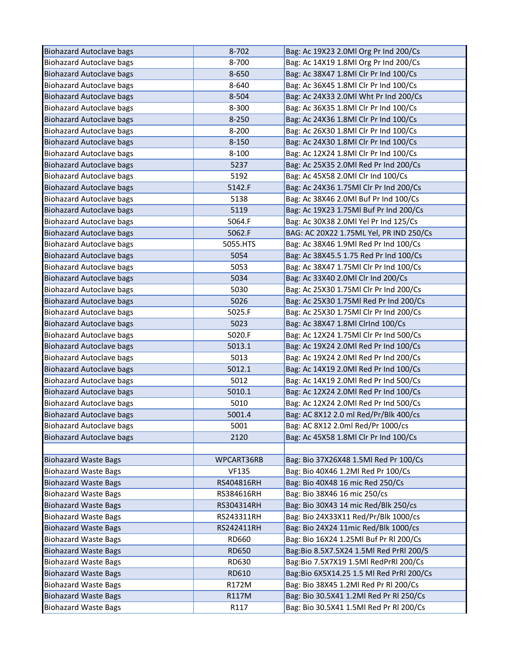| <b>Biohazard Autoclave bags</b> | 8-702        | Bag: Ac 19X23 2.0Ml Org Pr Ind 200/Cs    |
|---------------------------------|--------------|------------------------------------------|
| <b>Biohazard Autoclave bags</b> | 8-700        | Bag: Ac 14X19 1.8Ml Org Pr Ind 200/Cs    |
| <b>Biohazard Autoclave bags</b> | 8-650        | Bag: Ac 38X47 1.8Ml Clr Pr Ind 100/Cs    |
| <b>Biohazard Autoclave bags</b> | 8-640        | Bag: Ac 36X45 1.8Ml Clr Pr Ind 100/Cs    |
| <b>Biohazard Autoclave bags</b> | 8-504        | Bag: Ac 24X33 2.0Ml Wht Pr Ind 200/Cs    |
| <b>Biohazard Autoclave bags</b> | 8-300        | Bag: Ac 36X35 1.8Ml Clr Pr Ind 100/Cs    |
| <b>Biohazard Autoclave bags</b> | $8 - 250$    | Bag: Ac 24X36 1.8Ml Clr Pr Ind 100/Cs    |
| <b>Biohazard Autoclave bags</b> | $8 - 200$    | Bag: Ac 26X30 1.8Ml Clr Pr Ind 100/Cs    |
| <b>Biohazard Autoclave bags</b> | 8-150        | Bag: Ac 24X30 1.8Ml Clr Pr Ind 100/Cs    |
| <b>Biohazard Autoclave bags</b> | 8-100        | Bag: Ac 12X24 1.8Ml Clr Pr Ind 100/Cs    |
| <b>Biohazard Autoclave bags</b> | 5237         | Bag: Ac 25X35 2.0Ml Red Pr Ind 200/Cs    |
| <b>Biohazard Autoclave bags</b> | 5192         | Bag: Ac 45X58 2.0Ml Clr Ind 100/Cs       |
| <b>Biohazard Autoclave bags</b> | 5142.F       | Bag: Ac 24X36 1.75Ml Clr Pr Ind 200/Cs   |
| <b>Biohazard Autoclave bags</b> | 5138         | Bag: Ac 38X46 2.0Ml Buf Pr Ind 100/Cs    |
| <b>Biohazard Autoclave bags</b> | 5119         | Bag: Ac 19X23 1.75Ml Buf Pr Ind 200/Cs   |
| <b>Biohazard Autoclave bags</b> | 5064.F       | Bag: Ac 30X38 2.0Ml Yel Pr Ind 125/Cs    |
| <b>Biohazard Autoclave bags</b> | 5062.F       | BAG: AC 20X22 1.75ML Yel, PR IND 250/Cs  |
| <b>Biohazard Autoclave bags</b> | 5055.HTS     | Bag: Ac 38X46 1.9Ml Red Pr Ind 100/Cs    |
| <b>Biohazard Autoclave bags</b> | 5054         | Bag: Ac 38X45.5 1.75 Red Pr Ind 100/Cs   |
| <b>Biohazard Autoclave bags</b> | 5053         | Bag: Ac 38X47 1.75Ml Clr Pr Ind 100/Cs   |
| <b>Biohazard Autoclave bags</b> | 5034         | Bag: Ac 33X40 2.0Ml Clr Ind 200/Cs       |
| <b>Biohazard Autoclave bags</b> | 5030         | Bag: Ac 25X30 1.75Ml Clr Pr Ind 200/Cs   |
| <b>Biohazard Autoclave bags</b> | 5026         | Bag: Ac 25X30 1.75Ml Red Pr Ind 200/Cs   |
| <b>Biohazard Autoclave bags</b> | 5025.F       | Bag: Ac 25X30 1.75Ml Clr Pr Ind 200/Cs   |
| <b>Biohazard Autoclave bags</b> | 5023         | Bag: Ac 38X47 1.8Ml ClrInd 100/Cs        |
| <b>Biohazard Autoclave bags</b> | 5020.F       | Bag: Ac 12X24 1.75Ml Clr Pr Ind 500/Cs   |
| <b>Biohazard Autoclave bags</b> | 5013.1       | Bag: Ac 19X24 2.0Ml Red Pr Ind 100/Cs    |
| <b>Biohazard Autoclave bags</b> | 5013         | Bag: Ac 19X24 2.0Ml Red Pr Ind 200/Cs    |
| <b>Biohazard Autoclave bags</b> | 5012.1       | Bag: Ac 14X19 2.0Ml Red Pr Ind 100/Cs    |
| <b>Biohazard Autoclave bags</b> | 5012         | Bag: Ac 14X19 2.0Ml Red Pr Ind 500/Cs    |
| <b>Biohazard Autoclave bags</b> | 5010.1       | Bag: Ac 12X24 2.0Ml Red Pr Ind 100/Cs    |
| <b>Biohazard Autoclave bags</b> | 5010         | Bag: Ac 12X24 2.0Ml Red Pr Ind 500/Cs    |
| <b>Biohazard Autoclave bags</b> | 5001.4       | Bag: AC 8X12 2.0 ml Red/Pr/Blk 400/cs    |
| <b>Biohazard Autoclave bags</b> | 5001         | Bag: AC 8X12 2.0ml Red/Pr 1000/cs        |
| <b>Biohazard Autoclave bags</b> | 2120         | Bag: Ac 45X58 1.8Ml Clr Pr Ind 100/Cs    |
|                                 |              |                                          |
| <b>Biohazard Waste Bags</b>     | WPCART36RB   | Bag: Bio 37X26X48 1.5Ml Red Pr 100/Cs    |
| <b>Biohazard Waste Bags</b>     | <b>VF135</b> | Bag: Bio 40X46 1.2Ml Red Pr 100/Cs       |
| <b>Biohazard Waste Bags</b>     | RS404816RH   | Bag: Bio 40X48 16 mic Red 250/Cs         |
| <b>Biohazard Waste Bags</b>     | RS384616RH   | Bag: Bio 38X46 16 mic 250/cs             |
| <b>Biohazard Waste Bags</b>     | RS304314RH   | Bag: Bio 30X43 14 mic Red/Blk 250/cs     |
| <b>Biohazard Waste Bags</b>     | RS243311RH   | Bag: Bio 24X33X11 Red/Pr/Blk 1000/cs     |
| <b>Biohazard Waste Bags</b>     | RS242411RH   | Bag: Bio 24X24 11mic Red/Blk 1000/cs     |
| <b>Biohazard Waste Bags</b>     | RD660        | Bag: Bio 16X24 1.25Ml Buf Pr Rl 200/Cs   |
| <b>Biohazard Waste Bags</b>     | <b>RD650</b> | Bag:Bio 8.5X7.5X24 1.5Ml Red PrRl 200/S  |
| <b>Biohazard Waste Bags</b>     | RD630        | Bag:Bio 7.5X7X19 1.5Ml RedPrRl 200/Cs    |
| <b>Biohazard Waste Bags</b>     | RD610        | Bag:Bio 6X5X14.25 1.5 Ml Red PrRl 200/Cs |
| <b>Biohazard Waste Bags</b>     | R172M        | Bag: Bio 38X45 1.2Ml Red Pr Rl 200/Cs    |
| <b>Biohazard Waste Bags</b>     | R117M        | Bag: Bio 30.5X41 1.2Ml Red Pr Rl 250/Cs  |
| <b>Biohazard Waste Bags</b>     | R117         | Bag: Bio 30.5X41 1.5Ml Red Pr Rl 200/Cs  |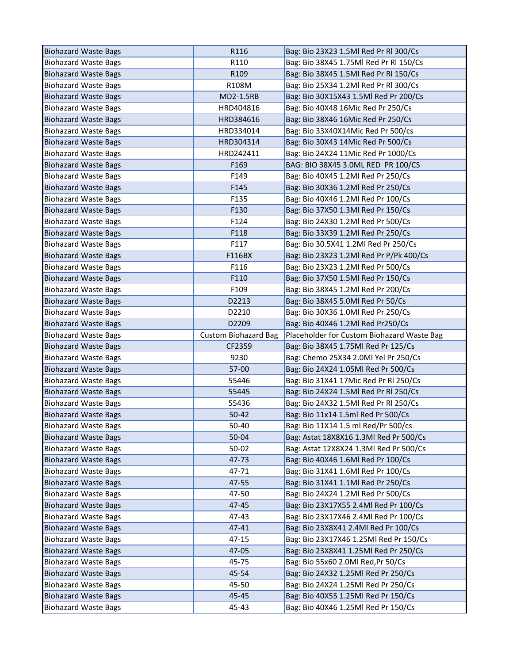| <b>Biohazard Waste Bags</b> | R116                        | Bag: Bio 23X23 1.5Ml Red Pr Rl 300/Cs      |
|-----------------------------|-----------------------------|--------------------------------------------|
| <b>Biohazard Waste Bags</b> | R110                        | Bag: Bio 38X45 1.75Ml Red Pr Rl 150/Cs     |
| <b>Biohazard Waste Bags</b> | R109                        | Bag: Bio 38X45 1.5Ml Red Pr Rl 150/Cs      |
| <b>Biohazard Waste Bags</b> | R108M                       | Bag: Bio 25X34 1.2Ml Red Pr Rl 300/Cs      |
| <b>Biohazard Waste Bags</b> | <b>MD2-1.5RB</b>            | Bag: Bio 30X15X43 1.5Ml Red Pr 200/Cs      |
| <b>Biohazard Waste Bags</b> | HRD404816                   | Bag: Bio 40X48 16Mic Red Pr 250/Cs         |
| <b>Biohazard Waste Bags</b> | HRD384616                   | Bag: Bio 38X46 16Mic Red Pr 250/Cs         |
| <b>Biohazard Waste Bags</b> | HRD334014                   | Bag: Bio 33X40X14Mic Red Pr 500/cs         |
| <b>Biohazard Waste Bags</b> | HRD304314                   | Bag: Bio 30X43 14Mic Red Pr 500/Cs         |
| <b>Biohazard Waste Bags</b> | HRD242411                   | Bag: Bio 24X24 11Mic Red Pr 1000/Cs        |
| <b>Biohazard Waste Bags</b> | F169                        | BAG: BIO 38X45 3.0ML RED PR 100/CS         |
| <b>Biohazard Waste Bags</b> | F149                        | Bag: Bio 40X45 1.2Ml Red Pr 250/Cs         |
| <b>Biohazard Waste Bags</b> | F145                        | Bag: Bio 30X36 1.2Ml Red Pr 250/Cs         |
| <b>Biohazard Waste Bags</b> | F135                        | Bag: Bio 40X46 1.2Ml Red Pr 100/Cs         |
| <b>Biohazard Waste Bags</b> | F130                        | Bag: Bio 37X50 1.3Ml Red Pr 150/Cs         |
| <b>Biohazard Waste Bags</b> | F124                        | Bag: Bio 24X30 1.2Ml Red Pr 500/Cs         |
| <b>Biohazard Waste Bags</b> | F118                        | Bag: Bio 33X39 1.2Ml Red Pr 250/Cs         |
| <b>Biohazard Waste Bags</b> | F117                        | Bag: Bio 30.5X41 1.2Ml Red Pr 250/Cs       |
| <b>Biohazard Waste Bags</b> | F116BX                      | Bag: Bio 23X23 1.2Ml Red Pr P/Pk 400/Cs    |
| <b>Biohazard Waste Bags</b> | F116                        | Bag: Bio 23X23 1.2Ml Red Pr 500/Cs         |
| <b>Biohazard Waste Bags</b> | F110                        | Bag: Bio 37X50 1.5Ml Red Pr 150/Cs         |
| <b>Biohazard Waste Bags</b> | F109                        | Bag: Bio 38X45 1.2Ml Red Pr 200/Cs         |
| <b>Biohazard Waste Bags</b> | D2213                       | Bag: Bio 38X45 5.0Ml Red Pr 50/Cs          |
| <b>Biohazard Waste Bags</b> | D2210                       | Bag: Bio 30X36 1.0Ml Red Pr 250/Cs         |
| <b>Biohazard Waste Bags</b> | D2209                       | Bag: Bio 40X46 1.2Ml Red Pr250/Cs          |
|                             |                             |                                            |
| <b>Biohazard Waste Bags</b> | <b>Custom Biohazard Bag</b> | Placeholder for Custom Biohazard Waste Bag |
| <b>Biohazard Waste Bags</b> | CF2359                      | Bag: Bio 38X45 1.75Ml Red Pr 125/Cs        |
| <b>Biohazard Waste Bags</b> | 9230                        | Bag: Chemo 25X34 2.0Ml Yel Pr 250/Cs       |
| <b>Biohazard Waste Bags</b> | 57-00                       | Bag: Bio 24X24 1.05Ml Red Pr 500/Cs        |
| <b>Biohazard Waste Bags</b> | 55446                       | Bag: Bio 31X41 17Mic Red Pr Rl 250/Cs      |
| <b>Biohazard Waste Bags</b> | 55445                       | Bag: Bio 24X24 1.5Ml Red Pr Rl 250/Cs      |
| <b>Biohazard Waste Bags</b> | 55436                       | Bag: Bio 24X32 1.5Ml Red Pr Rl 250/Cs      |
| <b>Biohazard Waste Bags</b> | 50-42                       | Bag: Bio 11x14 1.5ml Red Pr 500/Cs         |
| <b>Biohazard Waste Bags</b> | 50-40                       | Bag: Bio 11X14 1.5 ml Red/Pr 500/cs        |
| <b>Biohazard Waste Bags</b> | 50-04                       | Bag: Astat 18X8X16 1.3Ml Red Pr 500/Cs     |
| <b>Biohazard Waste Bags</b> | 50-02                       | Bag: Astat 12X8X24 1.3Ml Red Pr 500/Cs     |
| <b>Biohazard Waste Bags</b> | 47-73                       | Bag: Bio 40X46 1.6Ml Red Pr 100/Cs         |
| <b>Biohazard Waste Bags</b> | 47-71                       | Bag: Bio 31X41 1.6Ml Red Pr 100/Cs         |
| <b>Biohazard Waste Bags</b> | 47-55                       | Bag: Bio 31X41 1.1Ml Red Pr 250/Cs         |
| <b>Biohazard Waste Bags</b> | 47-50                       | Bag: Bio 24X24 1.2Ml Red Pr 500/Cs         |
| <b>Biohazard Waste Bags</b> | 47-45                       | Bag: Bio 23X17X55 2.4Ml Red Pr 100/Cs      |
| <b>Biohazard Waste Bags</b> | 47-43                       | Bag: Bio 23X17X46 2.4Ml Red Pr 100/Cs      |
| <b>Biohazard Waste Bags</b> | 47-41                       | Bag: Bio 23X8X41 2.4Ml Red Pr 100/Cs       |
| <b>Biohazard Waste Bags</b> | 47-15                       | Bag: Bio 23X17X46 1.25Ml Red Pr 150/Cs     |
| <b>Biohazard Waste Bags</b> | 47-05                       | Bag: Bio 23X8X41 1.25Ml Red Pr 250/Cs      |
| <b>Biohazard Waste Bags</b> | 45-75                       | Bag: Bio 55x60 2.0Ml Red, Pr 50/Cs         |
| <b>Biohazard Waste Bags</b> | 45-54                       | Bag: Bio 24X32 1.25Ml Red Pr 250/Cs        |
| <b>Biohazard Waste Bags</b> | 45-50                       | Bag: Bio 24X24 1.25Ml Red Pr 250/Cs        |
| <b>Biohazard Waste Bags</b> | 45-45                       | Bag: Bio 40X55 1.25Ml Red Pr 150/Cs        |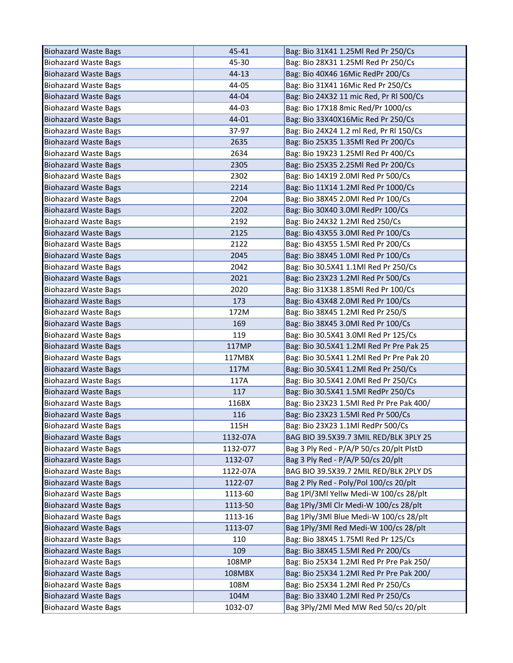| <b>Biohazard Waste Bags</b> | 45-41           | Bag: Bio 31X41 1.25Ml Red Pr 250/Cs                                        |
|-----------------------------|-----------------|----------------------------------------------------------------------------|
| <b>Biohazard Waste Bags</b> | 45-30           | Bag: Bio 28X31 1.25Ml Red Pr 250/Cs                                        |
| <b>Biohazard Waste Bags</b> | 44-13           | Bag: Bio 40X46 16Mic RedPr 200/Cs                                          |
| <b>Biohazard Waste Bags</b> | 44-05           | Bag: Bio 31X41 16Mic Red Pr 250/Cs                                         |
| <b>Biohazard Waste Bags</b> | 44-04           | Bag: Bio 24X32 11 mic Red, Pr RI 500/Cs                                    |
| <b>Biohazard Waste Bags</b> | 44-03           | Bag: Bio 17X18 8mic Red/Pr 1000/cs                                         |
| <b>Biohazard Waste Bags</b> | 44-01           | Bag: Bio 33X40X16Mic Red Pr 250/Cs                                         |
| <b>Biohazard Waste Bags</b> | 37-97           | Bag: Bio 24X24 1.2 ml Red, Pr Rl 150/Cs                                    |
| <b>Biohazard Waste Bags</b> | 2635            | Bag: Bio 25X35 1.35Ml Red Pr 200/Cs                                        |
| <b>Biohazard Waste Bags</b> | 2634            | Bag: Bio 19X23 1.25Ml Red Pr 400/Cs                                        |
| <b>Biohazard Waste Bags</b> | 2305            | Bag: Bio 25X35 2.25Ml Red Pr 200/Cs                                        |
| <b>Biohazard Waste Bags</b> | 2302            | Bag: Bio 14X19 2.0Ml Red Pr 500/Cs                                         |
| <b>Biohazard Waste Bags</b> | 2214            | Bag: Bio 11X14 1.2Ml Red Pr 1000/Cs                                        |
| <b>Biohazard Waste Bags</b> | 2204            | Bag: Bio 38X45 2.0Ml Red Pr 100/Cs                                         |
| <b>Biohazard Waste Bags</b> | 2202            | Bag: Bio 30X40 3.0Ml RedPr 100/Cs                                          |
| <b>Biohazard Waste Bags</b> | 2192            | Bag: Bio 24X32 1.2Ml Red 250/Cs                                            |
| <b>Biohazard Waste Bags</b> | 2125            | Bag: Bio 43X55 3.0Ml Red Pr 100/Cs                                         |
| <b>Biohazard Waste Bags</b> | 2122            | Bag: Bio 43X55 1.5Ml Red Pr 200/Cs                                         |
| <b>Biohazard Waste Bags</b> | 2045            | Bag: Bio 38X45 1.0Ml Red Pr 100/Cs                                         |
| <b>Biohazard Waste Bags</b> | 2042            | Bag: Bio 30.5X41 1.1Ml Red Pr 250/Cs                                       |
| <b>Biohazard Waste Bags</b> | 2021            | Bag: Bio 23X23 1.2Ml Red Pr 500/Cs                                         |
| <b>Biohazard Waste Bags</b> | 2020            | Bag: Bio 31X38 1.85Ml Red Pr 100/Cs                                        |
| <b>Biohazard Waste Bags</b> | 173             | Bag: Bio 43X48 2.0Ml Red Pr 100/Cs                                         |
| <b>Biohazard Waste Bags</b> | 172M            | Bag: Bio 38X45 1.2Ml Red Pr 250/S                                          |
| <b>Biohazard Waste Bags</b> | 169             | Bag: Bio 38X45 3.0Ml Red Pr 100/Cs                                         |
| <b>Biohazard Waste Bags</b> | 119             | Bag: Bio 30.5X41 3.0Ml Red Pr 125/Cs                                       |
| <b>Biohazard Waste Bags</b> | 117MP           | Bag: Bio 30.5X41 1.2Ml Red Pr Pre Pak 25                                   |
| <b>Biohazard Waste Bags</b> | 117MBX          | Bag: Bio 30.5X41 1.2Ml Red Pr Pre Pak 20                                   |
| <b>Biohazard Waste Bags</b> | 117M            | Bag: Bio 30.5X41 1.2Ml Red Pr 250/Cs                                       |
| <b>Biohazard Waste Bags</b> | 117A            | Bag: Bio 30.5X41 2.0Ml Red Pr 250/Cs                                       |
| <b>Biohazard Waste Bags</b> | 117             | Bag: Bio 30.5X41 1.5Ml RedPr 250/Cs                                        |
| <b>Biohazard Waste Bags</b> | 116BX           | Bag: Bio 23X23 1.5Ml Red Pr Pre Pak 400/                                   |
| <b>Biohazard Waste Bags</b> | 116             | Bag: Bio 23X23 1.5Ml Red Pr 500/Cs                                         |
| <b>Biohazard Waste Bags</b> | 115H            | Bag: Bio 23X23 1.1Ml RedPr 500/Cs                                          |
| <b>Biohazard Waste Bags</b> | 1132-07A        | BAG BIO 39.5X39.7 3MIL RED/BLK 3PLY 25                                     |
| <b>Biohazard Waste Bags</b> | 1132-077        | Bag 3 Ply Red - P/A/P 50/cs 20/plt PlstD                                   |
| <b>Biohazard Waste Bags</b> | 1132-07         | Bag 3 Ply Red - P/A/P 50/cs 20/plt                                         |
| <b>Biohazard Waste Bags</b> | 1122-07A        | BAG BIO 39.5X39.7 2MIL RED/BLK 2PLY DS                                     |
| <b>Biohazard Waste Bags</b> | 1122-07         | Bag 2 Ply Red - Poly/Pol 100/cs 20/plt                                     |
| <b>Biohazard Waste Bags</b> | 1113-60         | Bag 1Pl/3Ml Yellw Medi-W 100/cs 28/plt                                     |
| <b>Biohazard Waste Bags</b> | 1113-50         | Bag 1Ply/3Ml Clr Medi-W 100/cs 28/plt                                      |
| <b>Biohazard Waste Bags</b> | 1113-16         | Bag 1Ply/3Ml Blue Medi-W 100/cs 28/plt                                     |
| <b>Biohazard Waste Bags</b> | 1113-07         | Bag 1Ply/3Ml Red Medi-W 100/cs 28/plt                                      |
| <b>Biohazard Waste Bags</b> | 110             | Bag: Bio 38X45 1.75Ml Red Pr 125/Cs                                        |
| <b>Biohazard Waste Bags</b> | 109             | Bag: Bio 38X45 1.5Ml Red Pr 200/Cs                                         |
| <b>Biohazard Waste Bags</b> | 108MP           | Bag: Bio 25X34 1.2Ml Red Pr Pre Pak 250/                                   |
| <b>Biohazard Waste Bags</b> | 108MBX          | Bag: Bio 25X34 1.2Ml Red Pr Pre Pak 200/                                   |
| <b>Biohazard Waste Bags</b> | 108M            | Bag: Bio 25X34 1.2Ml Red Pr 250/Cs                                         |
| <b>Biohazard Waste Bags</b> |                 |                                                                            |
|                             | 104M<br>1032-07 | Bag: Bio 33X40 1.2Ml Red Pr 250/Cs<br>Bag 3Ply/2Ml Med MW Red 50/cs 20/plt |